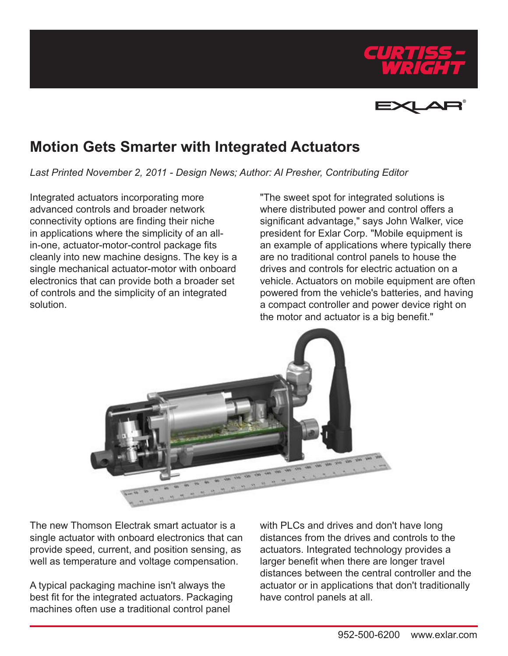



## **Motion Gets Smarter with Integrated Actuators**

*Last Printed November 2, 2011 - Design News; Author: Al Presher, Contributing Editor*

Integrated actuators incorporating more advanced controls and broader network connectivity options are finding their niche in applications where the simplicity of an allin-one, actuator-motor-control package fits cleanly into new machine designs. The key is a single mechanical actuator-motor with onboard electronics that can provide both a broader set of controls and the simplicity of an integrated solution.

"The sweet spot for integrated solutions is where distributed power and control offers a significant advantage," says John Walker, vice president for Exlar Corp. "Mobile equipment is an example of applications where typically there are no traditional control panels to house the drives and controls for electric actuation on a vehicle. Actuators on mobile equipment are often powered from the vehicle's batteries, and having a compact controller and power device right on the motor and actuator is a big benefit."



The new Thomson Electrak smart actuator is a single actuator with onboard electronics that can provide speed, current, and position sensing, as well as temperature and voltage compensation.

A typical packaging machine isn't always the best fit for the integrated actuators. Packaging machines often use a traditional control panel

with PLCs and drives and don't have long distances from the drives and controls to the actuators. Integrated technology provides a larger benefit when there are longer travel distances between the central controller and the actuator or in applications that don't traditionally have control panels at all.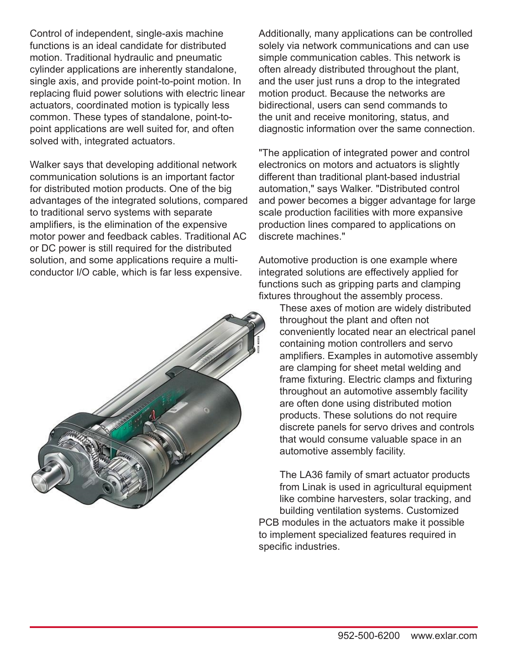Control of independent, single-axis machine functions is an ideal candidate for distributed motion. Traditional hydraulic and pneumatic cylinder applications are inherently standalone, single axis, and provide point-to-point motion. In replacing fluid power solutions with electric linear actuators, coordinated motion is typically less common. These types of standalone, point-topoint applications are well suited for, and often solved with, integrated actuators.

Walker says that developing additional network communication solutions is an important factor for distributed motion products. One of the big advantages of the integrated solutions, compared to traditional servo systems with separate amplifiers, is the elimination of the expensive motor power and feedback cables. Traditional AC or DC power is still required for the distributed solution, and some applications require a multiconductor I/O cable, which is far less expensive.



Additionally, many applications can be controlled solely via network communications and can use simple communication cables. This network is often already distributed throughout the plant, and the user just runs a drop to the integrated motion product. Because the networks are bidirectional, users can send commands to the unit and receive monitoring, status, and diagnostic information over the same connection.

"The application of integrated power and control electronics on motors and actuators is slightly different than traditional plant-based industrial automation," says Walker. "Distributed control and power becomes a bigger advantage for large scale production facilities with more expansive production lines compared to applications on discrete machines."

Automotive production is one example where integrated solutions are effectively applied for functions such as gripping parts and clamping fixtures throughout the assembly process.

These axes of motion are widely distributed throughout the plant and often not conveniently located near an electrical panel containing motion controllers and servo amplifiers. Examples in automotive assembly are clamping for sheet metal welding and frame fixturing. Electric clamps and fixturing throughout an automotive assembly facility are often done using distributed motion products. These solutions do not require discrete panels for servo drives and controls that would consume valuable space in an automotive assembly facility.

The LA36 family of smart actuator products from Linak is used in agricultural equipment like combine harvesters, solar tracking, and building ventilation systems. Customized PCB modules in the actuators make it possible to implement specialized features required in specific industries.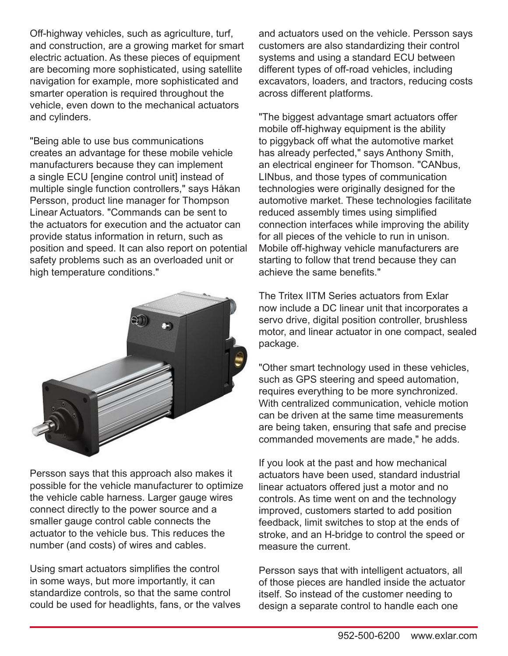Off-highway vehicles, such as agriculture, turf, and construction, are a growing market for smart electric actuation. As these pieces of equipment are becoming more sophisticated, using satellite navigation for example, more sophisticated and smarter operation is required throughout the vehicle, even down to the mechanical actuators and cylinders.

"Being able to use bus communications creates an advantage for these mobile vehicle manufacturers because they can implement a single ECU [engine control unit] instead of multiple single function controllers," says Håkan Persson, product line manager for Thompson Linear Actuators. "Commands can be sent to the actuators for execution and the actuator can provide status information in return, such as position and speed. It can also report on potential safety problems such as an overloaded unit or high temperature conditions."



Persson says that this approach also makes it possible for the vehicle manufacturer to optimize the vehicle cable harness. Larger gauge wires connect directly to the power source and a smaller gauge control cable connects the actuator to the vehicle bus. This reduces the number (and costs) of wires and cables.

Using smart actuators simplifies the control in some ways, but more importantly, it can standardize controls, so that the same control could be used for headlights, fans, or the valves and actuators used on the vehicle. Persson says customers are also standardizing their control systems and using a standard ECU between different types of off-road vehicles, including excavators, loaders, and tractors, reducing costs across different platforms.

"The biggest advantage smart actuators offer mobile off-highway equipment is the ability to piggyback off what the automotive market has already perfected," says Anthony Smith, an electrical engineer for Thomson. "CANbus, LINbus, and those types of communication technologies were originally designed for the automotive market. These technologies facilitate reduced assembly times using simplified connection interfaces while improving the ability for all pieces of the vehicle to run in unison. Mobile off-highway vehicle manufacturers are starting to follow that trend because they can achieve the same benefits."

The Tritex IITM Series actuators from Exlar now include a DC linear unit that incorporates a servo drive, digital position controller, brushless motor, and linear actuator in one compact, sealed package.

"Other smart technology used in these vehicles, such as GPS steering and speed automation, requires everything to be more synchronized. With centralized communication, vehicle motion can be driven at the same time measurements are being taken, ensuring that safe and precise commanded movements are made," he adds.

If you look at the past and how mechanical actuators have been used, standard industrial linear actuators offered just a motor and no controls. As time went on and the technology improved, customers started to add position feedback, limit switches to stop at the ends of stroke, and an H-bridge to control the speed or measure the current.

Persson says that with intelligent actuators, all of those pieces are handled inside the actuator itself. So instead of the customer needing to design a separate control to handle each one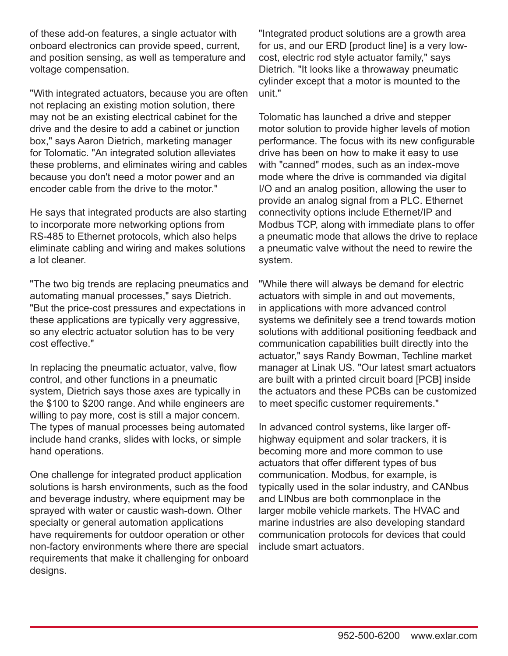of these add-on features, a single actuator with onboard electronics can provide speed, current, and position sensing, as well as temperature and voltage compensation.

"With integrated actuators, because you are often not replacing an existing motion solution, there may not be an existing electrical cabinet for the drive and the desire to add a cabinet or junction box," says Aaron Dietrich, marketing manager for Tolomatic. "An integrated solution alleviates these problems, and eliminates wiring and cables because you don't need a motor power and an encoder cable from the drive to the motor."

He says that integrated products are also starting to incorporate more networking options from RS-485 to Ethernet protocols, which also helps eliminate cabling and wiring and makes solutions a lot cleaner.

"The two big trends are replacing pneumatics and automating manual processes," says Dietrich. "But the price-cost pressures and expectations in these applications are typically very aggressive, so any electric actuator solution has to be very cost effective."

In replacing the pneumatic actuator, valve, flow control, and other functions in a pneumatic system, Dietrich says those axes are typically in the \$100 to \$200 range. And while engineers are willing to pay more, cost is still a major concern. The types of manual processes being automated include hand cranks, slides with locks, or simple hand operations.

One challenge for integrated product application solutions is harsh environments, such as the food and beverage industry, where equipment may be sprayed with water or caustic wash-down. Other specialty or general automation applications have requirements for outdoor operation or other non-factory environments where there are special requirements that make it challenging for onboard designs.

"Integrated product solutions are a growth area for us, and our ERD [product line] is a very lowcost, electric rod style actuator family," says Dietrich. "It looks like a throwaway pneumatic cylinder except that a motor is mounted to the unit."

Tolomatic has launched a drive and stepper motor solution to provide higher levels of motion performance. The focus with its new configurable drive has been on how to make it easy to use with "canned" modes, such as an index-move mode where the drive is commanded via digital I/O and an analog position, allowing the user to provide an analog signal from a PLC. Ethernet connectivity options include Ethernet/IP and Modbus TCP, along with immediate plans to offer a pneumatic mode that allows the drive to replace a pneumatic valve without the need to rewire the system.

"While there will always be demand for electric actuators with simple in and out movements, in applications with more advanced control systems we definitely see a trend towards motion solutions with additional positioning feedback and communication capabilities built directly into the actuator," says Randy Bowman, Techline market manager at Linak US. "Our latest smart actuators are built with a printed circuit board [PCB] inside the actuators and these PCBs can be customized to meet specific customer requirements."

In advanced control systems, like larger offhighway equipment and solar trackers, it is becoming more and more common to use actuators that offer different types of bus communication. Modbus, for example, is typically used in the solar industry, and CANbus and LINbus are both commonplace in the larger mobile vehicle markets. The HVAC and marine industries are also developing standard communication protocols for devices that could include smart actuators.